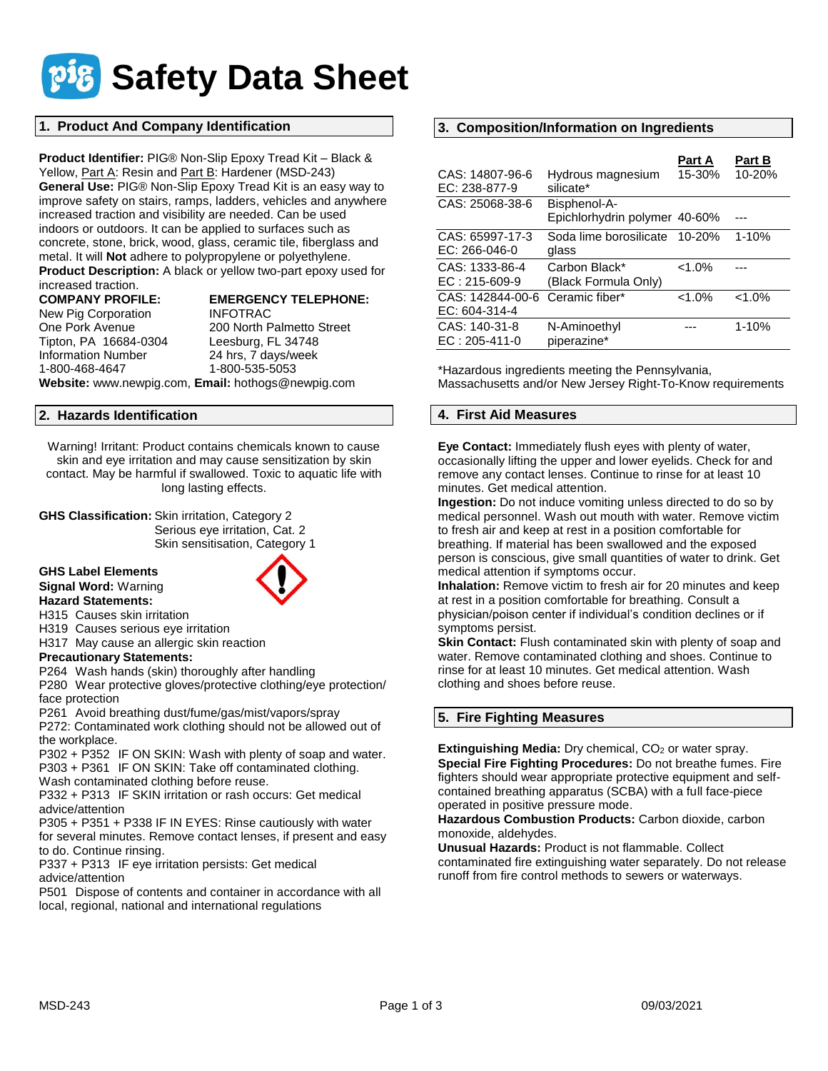

## **1. Product And Company Identification**

**Product Identifier:** PIG® Non-Slip Epoxy Tread Kit – Black & Yellow, Part A: Resin and Part B: Hardener (MSD-243) **General Use:** PIG® Non-Slip Epoxy Tread Kit is an easy way to improve safety on stairs, ramps, ladders, vehicles and anywhere increased traction and visibility are needed. Can be used indoors or outdoors. It can be applied to surfaces such as concrete, stone, brick, wood, glass, ceramic tile, fiberglass and metal. It will **Not** adhere to polypropylene or polyethylene. **Product Description:** A black or yellow two-part epoxy used for

increased traction.

New Pig Corporation INFOTRAC Tipton, PA 16684-0304 Leesburg, FL 34748 1-800-468-4647 1-800-535-5053

# **COMPANY PROFILE: EMERGENCY TELEPHONE:**

One Pork Avenue 200 North Palmetto Street 24 hrs, 7 days/week **Website:** www.newpig.com, **Email:** hothogs@newpig.com

### **2. Hazards Identification**

Warning! Irritant: Product contains chemicals known to cause skin and eye irritation and may cause sensitization by skin contact. May be harmful if swallowed. Toxic to aquatic life with long lasting effects.

**GHS Classification:** Skin irritation, Category 2 Serious eye irritation, Cat. 2 Skin sensitisation, Category 1

#### **GHS Label Elements Signal Word:** Warning



H315 Causes skin irritation H319 Causes serious eye irritation

H317 May cause an allergic skin reaction

**Precautionary Statements:**

P264 Wash hands (skin) thoroughly after handling

P280 Wear protective gloves/protective clothing/eye protection/ face protection

P261 Avoid breathing dust/fume/gas/mist/vapors/spray

P272: Contaminated work clothing should not be allowed out of the workplace.

P302 + P352 IF ON SKIN: Wash with plenty of soap and water. P303 + P361 IF ON SKIN: Take off contaminated clothing.

Wash contaminated clothing before reuse.

P332 + P313 IF SKIN irritation or rash occurs: Get medical advice/attention

P305 + P351 + P338 IF IN EYES: Rinse cautiously with water for several minutes. Remove contact lenses, if present and easy to do. Continue rinsing.

P337 + P313 IF eye irritation persists: Get medical advice/attention

P501 Dispose of contents and container in accordance with all local, regional, national and international regulations

## **3. Composition/Information on Ingredients**

| CAS: 14807-96-6<br>EC: 238-877-9   | Hydrous magnesium<br>silicate*                | Part A<br>15-30% | <b>Part B</b><br>10-20% |
|------------------------------------|-----------------------------------------------|------------------|-------------------------|
| CAS: 25068-38-6                    | Bisphenol-A-<br>Epichlorhydrin polymer 40-60% |                  |                         |
| CAS: 65997-17-3<br>$EC: 266-046-0$ | Soda lime borosilicate<br>glass               | $10 - 20%$       | $1 - 10%$               |
| CAS: 1333-86-4<br>$EC: 215-609-9$  | Carbon Black*<br>(Black Formula Only)         | $< 1.0\%$        |                         |
| CAS: 142844-00-6<br>EC: 604-314-4  | Ceramic fiber*                                | $< 1.0\%$        | $< 1.0\%$               |
| CAS: 140-31-8<br>$EC: 205-411-0$   | N-Aminoethyl<br>piperazine*                   |                  | $1 - 10%$               |

\*Hazardous ingredients meeting the Pennsylvania, Massachusetts and/or New Jersey Right-To-Know requirements

## **4. First Aid Measures**

**Eye Contact:** Immediately flush eyes with plenty of water, occasionally lifting the upper and lower eyelids. Check for and remove any contact lenses. Continue to rinse for at least 10 minutes. Get medical attention.

**Ingestion:** Do not induce vomiting unless directed to do so by medical personnel. Wash out mouth with water. Remove victim to fresh air and keep at rest in a position comfortable for breathing. If material has been swallowed and the exposed person is conscious, give small quantities of water to drink. Get medical attention if symptoms occur.

**Inhalation:** Remove victim to fresh air for 20 minutes and keep at rest in a position comfortable for breathing. Consult a physician/poison center if individual's condition declines or if symptoms persist.

**Skin Contact:** Flush contaminated skin with plenty of soap and water. Remove contaminated clothing and shoes. Continue to rinse for at least 10 minutes. Get medical attention. Wash clothing and shoes before reuse.

# **5. Fire Fighting Measures**

**Extinguishing Media:** Dry chemical, CO<sub>2</sub> or water spray. **Special Fire Fighting Procedures:** Do not breathe fumes. Fire fighters should wear appropriate protective equipment and selfcontained breathing apparatus (SCBA) with a full face-piece operated in positive pressure mode.

**Hazardous Combustion Products:** Carbon dioxide, carbon monoxide, aldehydes.

**Unusual Hazards:** Product is not flammable. Collect contaminated fire extinguishing water separately. Do not release runoff from fire control methods to sewers or waterways.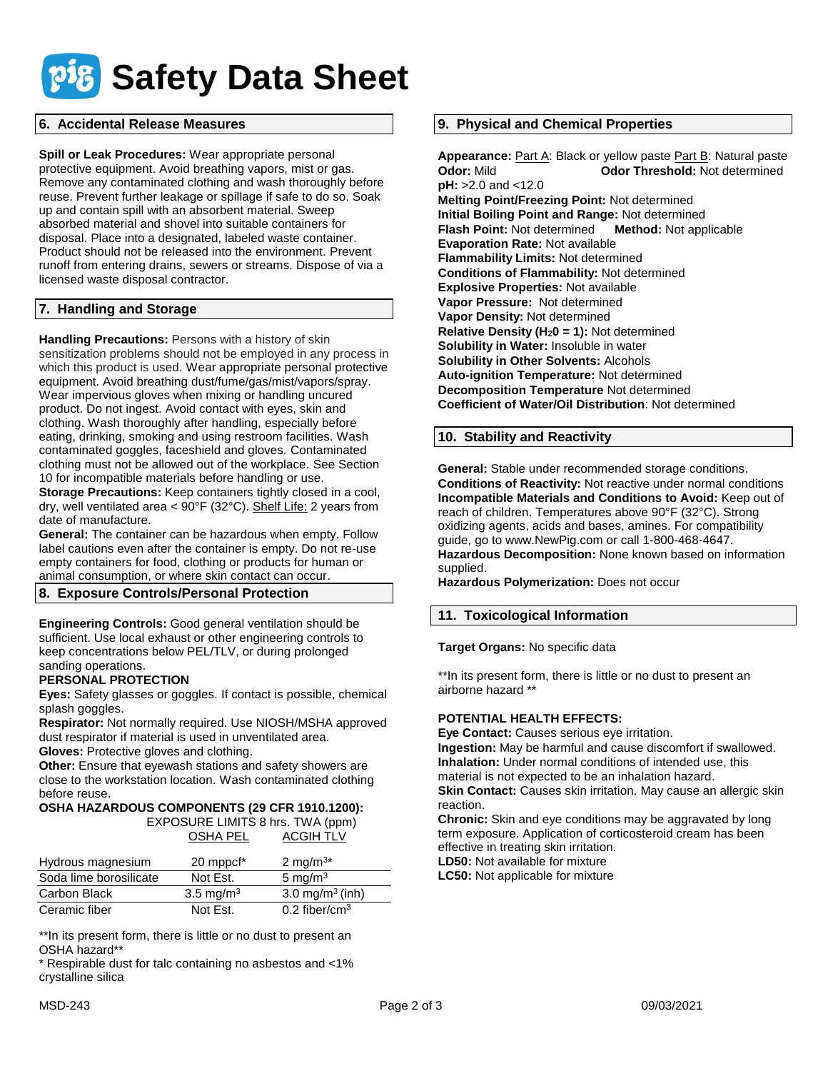

## **6. Accidental Release Measures**

**Spill or Leak Procedures:** Wear appropriate personal protective equipment. Avoid breathing vapors, mist or gas. Remove any contaminated clothing and wash thoroughly before reuse. Prevent further leakage or spillage if safe to do so. Soak up and contain spill with an absorbent material. Sweep absorbed material and shovel into suitable containers for disposal. Place into a designated, labeled waste container. Product should not be released into the environment. Prevent runoff from entering drains, sewers or streams. Dispose of via a licensed waste disposal contractor.

## **7. Handling and Storage**

**Handling Precautions:** Persons with a history of skin sensitization problems should not be employed in any process in which this product is used. Wear appropriate personal protective equipment. Avoid breathing dust/fume/gas/mist/vapors/spray. Wear impervious gloves when mixing or handling uncured product. Do not ingest. Avoid contact with eyes, skin and clothing. Wash thoroughly after handling, especially before eating, drinking, smoking and using restroom facilities. Wash contaminated goggles, faceshield and gloves. Contaminated clothing must not be allowed out of the workplace. See Section 10 for incompatible materials before handling or use.

**Storage Precautions:** Keep containers tightly closed in a cool, dry, well ventilated area < 90°F (32°C). Shelf Life: 2 years from date of manufacture.

**General:** The container can be hazardous when empty. Follow label cautions even after the container is empty. Do not re-use empty containers for food, clothing or products for human or animal consumption, or where skin contact can occur.

#### **8. Exposure Controls/Personal Protection**

**Engineering Controls:** Good general ventilation should be sufficient. Use local exhaust or other engineering controls to keep concentrations below PEL/TLV, or during prolonged sanding operations.

#### **PERSONAL PROTECTION**

**Eyes:** Safety glasses or goggles. If contact is possible, chemical splash goggles.

**Respirator:** Not normally required. Use NIOSH/MSHA approved dust respirator if material is used in unventilated area.

**Gloves:** Protective gloves and clothing.

**Other:** Ensure that eyewash stations and safety showers are close to the workstation location. Wash contaminated clothing before reuse.

## **OSHA HAZARDOUS COMPONENTS (29 CFR 1910.1200):**

 EXPOSURE LIMITS 8 hrs. TWA (ppm) OSHA PEL ACGIH TLV

| Hydrous magnesium      | 20 mppcf <sup>*</sup> | 2 mg/m <sup>3*</sup>        |
|------------------------|-----------------------|-----------------------------|
| Soda lime borosilicate | Not Est.              | 5 mg/m $3$                  |
| Carbon Black           | $3.5 \text{ mg/m}^3$  | 3.0 mg/m <sup>3</sup> (inh) |
| Ceramic fiber          | Not Est.              | 0.2 fiber/cm <sup>3</sup>   |

\*\*In its present form, there is little or no dust to present an OSHA hazard\*\*

\* Respirable dust for talc containing no asbestos and <1% crystalline silica

### **9. Physical and Chemical Properties**

Appearance: **Part A: Black or yellow paste Part B: Natural paste Odor: Mild Codor Threshold: Not determined pH:** >2.0 and <12.0 **Melting Point/Freezing Point:** Not determined **Initial Boiling Point and Range:** Not determined **Flash Point:** Not determined **Method:** Not applicable **Evaporation Rate:** Not available **Flammability Limits:** Not determined **Conditions of Flammability:** Not determined **Explosive Properties:** Not available **Vapor Pressure:** Not determined **Vapor Density:** Not determined **Relative Density (H20 = 1):** Not determined **Solubility in Water:** Insoluble in water **Solubility in Other Solvents:** Alcohols **Auto-ignition Temperature:** Not determined **Decomposition Temperature** Not determined **Coefficient of Water/Oil Distribution**: Not determined

#### **10. Stability and Reactivity**

**General:** Stable under recommended storage conditions. **Conditions of Reactivity:** Not reactive under normal conditions **Incompatible Materials and Conditions to Avoid:** Keep out of reach of children. Temperatures above 90°F (32°C). Strong oxidizing agents, acids and bases, amines. For compatibility guide, go to www.NewPig.com or call 1-800-468-4647. **Hazardous Decomposition:** None known based on information supplied.

**Hazardous Polymerization:** Does not occur

## **11. Toxicological Information**

**Target Organs:** No specific data

\*\*In its present form, there is little or no dust to present an airborne hazard \*\*

#### **POTENTIAL HEALTH EFFECTS:**

**Eye Contact:** Causes serious eye irritation.

**Ingestion:** May be harmful and cause discomfort if swallowed. **Inhalation:** Under normal conditions of intended use, this material is not expected to be an inhalation hazard.

**Skin Contact:** Causes skin irritation. May cause an allergic skin reaction.

**Chronic:** Skin and eye conditions may be aggravated by long term exposure. Application of corticosteroid cream has been effective in treating skin irritation.

**LD50:** Not available for mixture

**LC50:** Not applicable for mixture